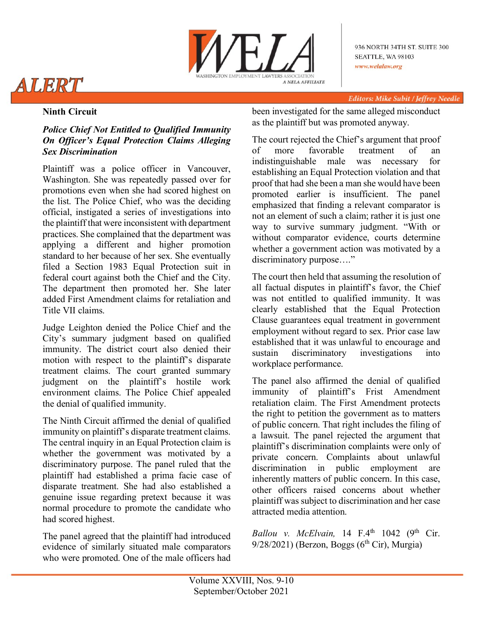

936 NORTH 34TH ST. SUITE 300 SEATTLE, WA 98103 www.welalaw.org

# ALERT

Editors: Mike Subit / Jeffrey Needle

## **Ninth Circuit**

## *Police Chief Not Entitled to Qualified Immunity On Officer's Equal Protection Claims Alleging Sex Discrimination*

Plaintiff was a police officer in Vancouver, Washington. She was repeatedly passed over for promotions even when she had scored highest on the list. The Police Chief, who was the deciding official, instigated a series of investigations into the plaintiff that were inconsistent with department practices. She complained that the department was applying a different and higher promotion standard to her because of her sex. She eventually filed a Section 1983 Equal Protection suit in federal court against both the Chief and the City. The department then promoted her. She later added First Amendment claims for retaliation and Title VII claims.

Judge Leighton denied the Police Chief and the City's summary judgment based on qualified immunity. The district court also denied their motion with respect to the plaintiff's disparate treatment claims. The court granted summary judgment on the plaintiff's hostile work environment claims. The Police Chief appealed the denial of qualified immunity.

The Ninth Circuit affirmed the denial of qualified immunity on plaintiff's disparate treatment claims. The central inquiry in an Equal Protection claim is whether the government was motivated by a discriminatory purpose. The panel ruled that the plaintiff had established a prima facie case of disparate treatment. She had also established a genuine issue regarding pretext because it was normal procedure to promote the candidate who had scored highest.

The panel agreed that the plaintiff had introduced evidence of similarly situated male comparators who were promoted. One of the male officers had been investigated for the same alleged misconduct as the plaintiff but was promoted anyway.

The court rejected the Chief's argument that proof of more favorable treatment of an indistinguishable male was necessary for establishing an Equal Protection violation and that proof that had she been a man she would have been promoted earlier is insufficient. The panel emphasized that finding a relevant comparator is not an element of such a claim; rather it is just one way to survive summary judgment. "With or without comparator evidence, courts determine whether a government action was motivated by a discriminatory purpose…."

The court then held that assuming the resolution of all factual disputes in plaintiff's favor, the Chief was not entitled to qualified immunity. It was clearly established that the Equal Protection Clause guarantees equal treatment in government employment without regard to sex. Prior case law established that it was unlawful to encourage and sustain discriminatory investigations into workplace performance.

The panel also affirmed the denial of qualified immunity of plaintiff's Frist Amendment retaliation claim. The First Amendment protects the right to petition the government as to matters of public concern. That right includes the filing of a lawsuit. The panel rejected the argument that plaintiff's discrimination complaints were only of private concern. Complaints about unlawful discrimination in public employment are in public employment are inherently matters of public concern. In this case, other officers raised concerns about whether plaintiff was subject to discrimination and her case attracted media attention.

*Ballou v. McElvain*, 14 F.4<sup>th</sup> 1042 (9<sup>th</sup> Cir.  $9/28/2021$ ) (Berzon, Boggs (6<sup>th</sup> Cir), Murgia)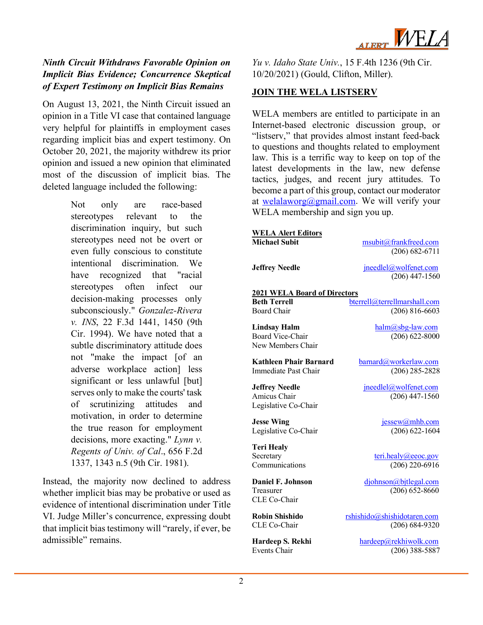

### *Ninth Circuit Withdraws Favorable Opinion on Implicit Bias Evidence; Concurrence Skeptical of Expert Testimony on Implicit Bias Remains*

On August 13, 2021, the Ninth Circuit issued an opinion in a Title VI case that contained language very helpful for plaintiffs in employment cases regarding implicit bias and expert testimony. On October 20, 2021, the majority withdrew its prior opinion and issued a new opinion that eliminated most of the discussion of implicit bias. The deleted language included the following:

> Not only are race-based stereotypes relevant to the discrimination inquiry, but such stereotypes need not be overt or even fully conscious to constitute intentional discrimination. We have recognized that "racial stereotypes often infect our decision-making processes only subconsciously." *Gonzalez-Rivera v. INS*, 22 F.3d 1441, 1450 (9th Cir. 1994). We have noted that a subtle discriminatory attitude does not "make the impact [of an adverse workplace action] less significant or less unlawful [but] serves only to make the courts' task of scrutinizing attitudes and motivation, in order to determine the true reason for employment decisions, more exacting." *Lynn v. Regents of Univ. of Cal*., 656 F.2d 1337, 1343 n.5 (9th Cir. 1981).

Instead, the majority now declined to address whether implicit bias may be probative or used as evidence of intentional discrimination under Title VI. Judge Miller's concurrence, expressing doubt that implicit bias testimony will "rarely, if ever, be admissible" remains.

*Yu v. Idaho State Univ.*, 15 F.4th 1236 (9th Cir. 10/20/2021) (Gould, Clifton, Miller).

#### **JOIN THE WELA LISTSERV**

WELA members are entitled to participate in an Internet-based electronic discussion group, or "listserv," that provides almost instant feed-back to questions and thoughts related to employment law. This is a terrific way to keep on top of the latest developments in the law, new defense tactics, judges, and recent jury attitudes. To become a part of this group, contact our moderator at [welalaworg@gmail.com.](mailto:welalaworg@gmail.com) We will verify your WELA membership and sign you up.

| <b>WELA Alert Editors</b>                                  |                                           |  |
|------------------------------------------------------------|-------------------------------------------|--|
| <b>Michael Subit</b>                                       | msubit@frankfreed.com                     |  |
|                                                            | $(206) 682 - 6711$                        |  |
|                                                            |                                           |  |
| <b>Jeffrey Needle</b>                                      | jneedlel@wolfenet.com                     |  |
|                                                            | $(206)$ 447-1560                          |  |
|                                                            |                                           |  |
| <b>2021 WELA Board of Directors</b><br><b>Beth Terrell</b> |                                           |  |
|                                                            | bterrell@terrellmarshall.com              |  |
| <b>Board Chair</b>                                         | $(206) 816 - 6603$                        |  |
| <b>Lindsay Halm</b>                                        | $halm@sbg-law.com$                        |  |
| <b>Board Vice-Chair</b>                                    | $(206) 622 - 8000$                        |  |
| New Members Chair                                          |                                           |  |
|                                                            |                                           |  |
| Kathleen Phair Barnard                                     | barnard@workerlaw.com                     |  |
| Immediate Past Chair                                       | $(206)$ 285-2828                          |  |
|                                                            |                                           |  |
| <b>Jeffrey Needle</b><br>Amicus Chair                      | jneedlel@wolfenet.com<br>$(206)$ 447-1560 |  |
|                                                            |                                           |  |
| Legislative Co-Chair                                       |                                           |  |
| <b>Jesse Wing</b>                                          | jessew@mhb.com                            |  |
| Legislative Co-Chair                                       | $(206) 622 - 1604$                        |  |
|                                                            |                                           |  |
| <b>Teri Healy</b>                                          |                                           |  |
| Secretary                                                  | $\text{teri.}$ healy@eeoc.gov             |  |
| Communications                                             | $(206)$ 220-6916                          |  |
| <b>Daniel F. Johnson</b>                                   | djohnson@bjtlegal.com                     |  |
| Treasurer                                                  | $(206) 652 - 8660$                        |  |
| CLE Co-Chair                                               |                                           |  |
|                                                            |                                           |  |
| <b>Robin Shishido</b>                                      | rshishido@shishidotaren.com               |  |
| CLE Co-Chair                                               | $(206) 684-9320$                          |  |
|                                                            |                                           |  |
| Hardeep S. Rekhi<br>Events Chair                           | hardeep@rekhiwolk.com                     |  |
|                                                            | $(206)$ 388-5887                          |  |